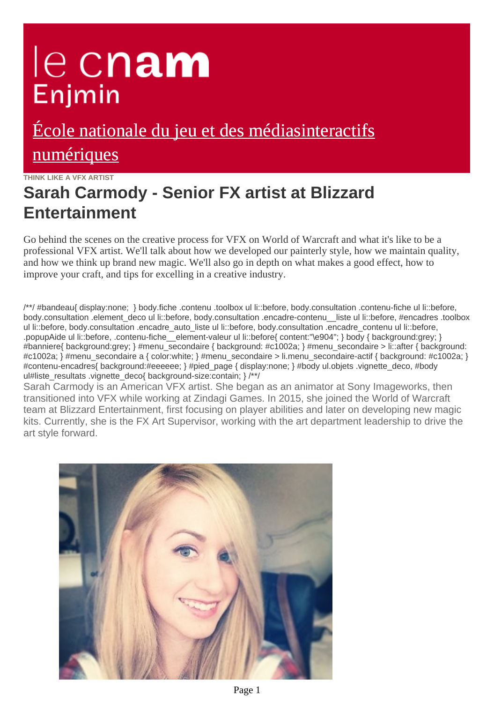## le cnam Enjmin

## [École nationale du jeu et des médiasinteractifs](https://enjmin.cnam.fr/) numériques

**THINK LIKE A VFX ARTIST**

## **Sarah Carmody - Senior FX artist at Blizzard Entertainment**

Go behind the scenes on the creative process for VFX on World of Warcraft and what it's like to be a professional VFX artist. We'll talk about how we developed our painterly style, how we maintain quality, and how we think up brand new magic. We'll also go in depth on what makes a good effect, how to improve your craft, and tips for excelling in a creative industry.

/\*\*/ #bandeau{ display:none; } body.fiche .contenu .toolbox ul li::before, body.consultation .contenu-fiche ul li::before, body.consultation .element\_deco ul li::before, body.consultation .encadre-contenu \_liste ul li::before, #encadres .toolbox ul li::before, body.consultation .encadre\_auto\_liste ul li::before, body.consultation .encadre\_contenu ul li::before, .popupAide ul li::before, .contenu-fiche\_\_element-valeur ul li::before{ content:"\e904"; } body { background:grey; } #banniere{ background:grey; } #menu\_secondaire { background: #c1002a; } #menu\_secondaire > li::after { backgroun #c1002a; } #menu\_secondaire a { color:white; } #menu\_secondaire > li.menu\_secondaire-actif { background: #c1002 #contenu-encadres{ background:#eeeeee; } #pied\_page { display:none; } #body ul.objets .vignette\_deco, #body ul#liste\_resultats .vignette\_deco{ background-size:contain; }/\*/

Sarah Carmody is an American VFX artist. She began as an animator at Sony Imageworks, then transitioned into VFX while working at Zindagi Games. In 2015, she joined the World of Warcraft team at Blizzard Entertainment, first focusing on player abilities and later on developing new magic kits. Currently, she is the FX Art Supervisor, working with the art department leadership to drive the art style forward.